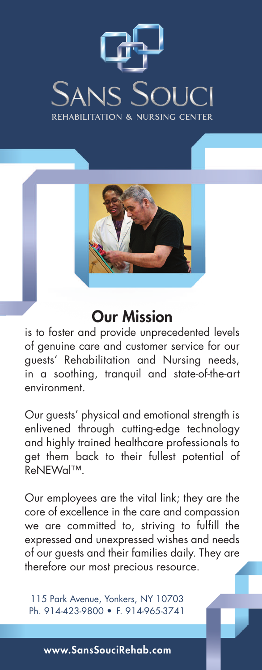



### **Our Mission**

is to foster and provide unprecedented levels of genuine care and customer service for our guests' Rehabilitation and Nursing needs, in a soothing, tranquil and state-of-the-art environment.

Our guests' physical and emotional strength is enlivened through cutting-edge technology and highly trained healthcare professionals to get them back to their fullest potential of ReNEWal™.

Our employees are the vital link; they are the core of excellence in the care and compassion we are committed to, striving to fulfill the expressed and unexpressed wishes and needs of our guests and their families daily. They are therefore our most precious resource.

115 Park Avenue, Yonkers, NY 10703 Ph. 914-423-9800 • F. 914-965-3741

**www.SansSouciRehab.com**